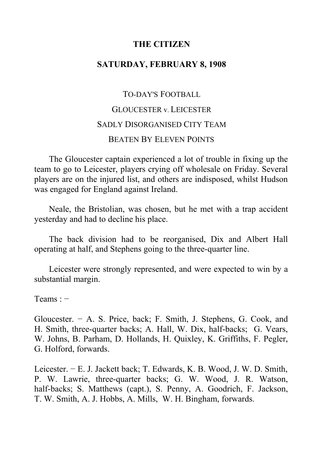## **THE CITIZEN**

## **SATURDAY, FEBRUARY 8, 1908**

# TO-DAY'S FOOTBALL GLOUCESTER v. LEICESTER SADLY DISORGANISED CITY TEAM BEATEN BY ELEVEN POINTS

The Gloucester captain experienced a lot of trouble in fixing up the team to go to Leicester, players crying off wholesale on Friday. Several players are on the injured list, and others are indisposed, whilst Hudson was engaged for England against Ireland.

Neale, the Bristolian, was chosen, but he met with a trap accident yesterday and had to decline his place.

The back division had to be reorganised, Dix and Albert Hall operating at half, and Stephens going to the three-quarter line.

Leicester were strongly represented, and were expected to win by a substantial margin.

Teams : −

Gloucester. − A. S. Price, back; F. Smith, J. Stephens, G. Cook, and H. Smith, three-quarter backs; A. Hall, W. Dix, half-backs; G. Vears, W. Johns, B. Parham, D. Hollands, H. Quixley, K. Griffiths, F. Pegler, G. Holford, forwards.

Leicester. − E. J. Jackett back; T. Edwards, K. B. Wood, J. W. D. Smith, P. W. Lawrie, three-quarter backs; G. W. Wood, J. R. Watson, half-backs; S. Matthews (capt.), S. Penny, A. Goodrich, F. Jackson, T. W. Smith, A. J. Hobbs, A. Mills, W. H. Bingham, forwards.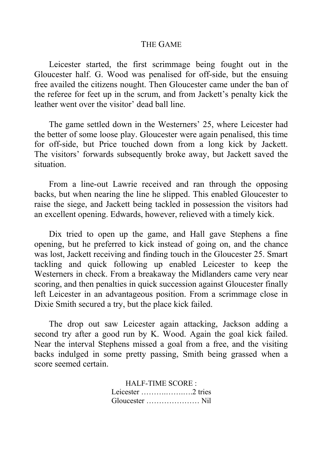### THE GAME

Leicester started, the first scrimmage being fought out in the Gloucester half. G. Wood was penalised for off-side, but the ensuing free availed the citizens nought. Then Gloucester came under the ban of the referee for feet up in the scrum, and from Jackett's penalty kick the leather went over the visitor' dead ball line.

The game settled down in the Westerners' 25, where Leicester had the better of some loose play. Gloucester were again penalised, this time for off-side, but Price touched down from a long kick by Jackett. The visitors' forwards subsequently broke away, but Jackett saved the situation.

From a line-out Lawrie received and ran through the opposing backs, but when nearing the line he slipped. This enabled Gloucester to raise the siege, and Jackett being tackled in possession the visitors had an excellent opening. Edwards, however, relieved with a timely kick.

Dix tried to open up the game, and Hall gave Stephens a fine opening, but he preferred to kick instead of going on, and the chance was lost, Jackett receiving and finding touch in the Gloucester 25. Smart tackling and quick following up enabled Leicester to keep the Westerners in check. From a breakaway the Midlanders came very near scoring, and then penalties in quick succession against Gloucester finally left Leicester in an advantageous position. From a scrimmage close in Dixie Smith secured a try, but the place kick failed.

The drop out saw Leicester again attacking, Jackson adding a second try after a good run by K. Wood. Again the goal kick failed. Near the interval Stephens missed a goal from a free, and the visiting backs indulged in some pretty passing, Smith being grassed when a score seemed certain.

> HALF-TIME SCORE : Leicester ……….…….….2 tries Gloucester ………………… Nil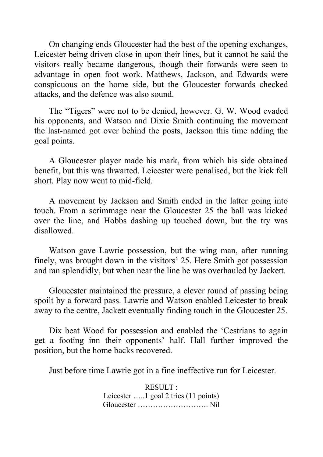On changing ends Gloucester had the best of the opening exchanges, Leicester being driven close in upon their lines, but it cannot be said the visitors really became dangerous, though their forwards were seen to advantage in open foot work. Matthews, Jackson, and Edwards were conspicuous on the home side, but the Gloucester forwards checked attacks, and the defence was also sound.

The "Tigers" were not to be denied, however. G. W. Wood evaded his opponents, and Watson and Dixie Smith continuing the movement the last-named got over behind the posts, Jackson this time adding the goal points.

A Gloucester player made his mark, from which his side obtained benefit, but this was thwarted. Leicester were penalised, but the kick fell short. Play now went to mid-field.

A movement by Jackson and Smith ended in the latter going into touch. From a scrimmage near the Gloucester 25 the ball was kicked over the line, and Hobbs dashing up touched down, but the try was disallowed.

Watson gave Lawrie possession, but the wing man, after running finely, was brought down in the visitors' 25. Here Smith got possession and ran splendidly, but when near the line he was overhauled by Jackett.

Gloucester maintained the pressure, a clever round of passing being spoilt by a forward pass. Lawrie and Watson enabled Leicester to break away to the centre, Jackett eventually finding touch in the Gloucester 25.

Dix beat Wood for possession and enabled the 'Cestrians to again get a footing inn their opponents' half. Hall further improved the position, but the home backs recovered.

Just before time Lawrie got in a fine ineffective run for Leicester.

RESULT : Leicester …..1 goal 2 tries (11 points) Gloucester ………………………. Nil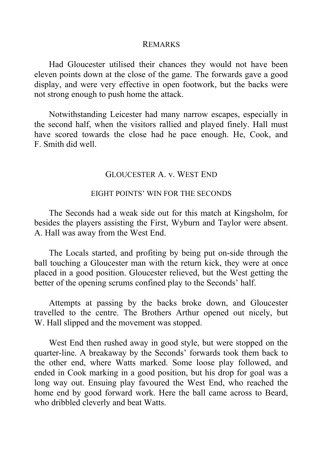#### REMARKS

Had Gloucester utilised their chances they would not have been eleven points down at the close of the game. The forwards gave a good display, and were very effective in open footwork, but the backs were not strong enough to push home the attack.

Notwithstanding Leicester had many narrow escapes, especially in the second half, when the visitors rallied and played finely. Hall must have scored towards the close had he pace enough. He, Cook, and F. Smith did well.

## GLOUCESTER A. v. WEST END

### EIGHT POINTS' WIN FOR THE SECONDS

The Seconds had a weak side out for this match at Kingsholm, for besides the players assisting the First, Wyburn and Taylor were absent. A. Hall was away from the West End.

The Locals started, and profiting by being put on-side through the ball touching a Gloucester man with the return kick, they were at once placed in a good position. Gloucester relieved, but the West getting the better of the opening scrums confined play to the Seconds' half.

Attempts at passing by the backs broke down, and Gloucester travelled to the centre. The Brothers Arthur opened out nicely, but W. Hall slipped and the movement was stopped.

West End then rushed away in good style, but were stopped on the quarter-line. A breakaway by the Seconds' forwards took them back to the other end, where Watts marked. Some loose play followed, and ended in Cook marking in a good position, but his drop for goal was a long way out. Ensuing play favoured the West End, who reached the home end by good forward work. Here the ball came across to Beard, who dribbled cleverly and beat Watts.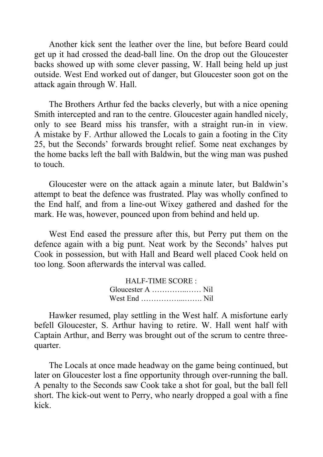Another kick sent the leather over the line, but before Beard could get up it had crossed the dead-ball line. On the drop out the Gloucester backs showed up with some clever passing, W. Hall being held up just outside. West End worked out of danger, but Gloucester soon got on the attack again through W. Hall.

The Brothers Arthur fed the backs cleverly, but with a nice opening Smith intercepted and ran to the centre. Gloucester again handled nicely, only to see Beard miss his transfer, with a straight run-in in view. A mistake by F. Arthur allowed the Locals to gain a footing in the City 25, but the Seconds' forwards brought relief. Some neat exchanges by the home backs left the ball with Baldwin, but the wing man was pushed to touch.

Gloucester were on the attack again a minute later, but Baldwin's attempt to beat the defence was frustrated. Play was wholly confined to the End half, and from a line-out Wixey gathered and dashed for the mark. He was, however, pounced upon from behind and held up.

West End eased the pressure after this, but Perry put them on the defence again with a big punt. Neat work by the Seconds' halves put Cook in possession, but with Hall and Beard well placed Cook held on too long. Soon afterwards the interval was called.

| HALF-TIME SCORE: |  |
|------------------|--|
|                  |  |
|                  |  |

Hawker resumed, play settling in the West half. A misfortune early befell Gloucester, S. Arthur having to retire. W. Hall went half with Captain Arthur, and Berry was brought out of the scrum to centre threequarter.

The Locals at once made headway on the game being continued, but later on Gloucester lost a fine opportunity through over-running the ball. A penalty to the Seconds saw Cook take a shot for goal, but the ball fell short. The kick-out went to Perry, who nearly dropped a goal with a fine kick.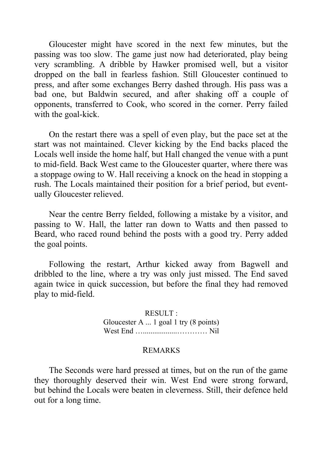Gloucester might have scored in the next few minutes, but the passing was too slow. The game just now had deteriorated, play being very scrambling. A dribble by Hawker promised well, but a visitor dropped on the ball in fearless fashion. Still Gloucester continued to press, and after some exchanges Berry dashed through. His pass was a bad one, but Baldwin secured, and after shaking off a couple of opponents, transferred to Cook, who scored in the corner. Perry failed with the goal-kick.

On the restart there was a spell of even play, but the pace set at the start was not maintained. Clever kicking by the End backs placed the Locals well inside the home half, but Hall changed the venue with a punt to mid-field. Back West came to the Gloucester quarter, where there was a stoppage owing to W. Hall receiving a knock on the head in stopping a rush. The Locals maintained their position for a brief period, but eventually Gloucester relieved.

Near the centre Berry fielded, following a mistake by a visitor, and passing to W. Hall, the latter ran down to Watts and then passed to Beard, who raced round behind the posts with a good try. Perry added the goal points.

Following the restart, Arthur kicked away from Bagwell and dribbled to the line, where a try was only just missed. The End saved again twice in quick succession, but before the final they had removed play to mid-field.

> RESULT : Gloucester A ... 1 goal 1 try (8 points) West End …..................………… Nil

#### REMARKS

The Seconds were hard pressed at times, but on the run of the game they thoroughly deserved their win. West End were strong forward, but behind the Locals were beaten in cleverness. Still, their defence held out for a long time.